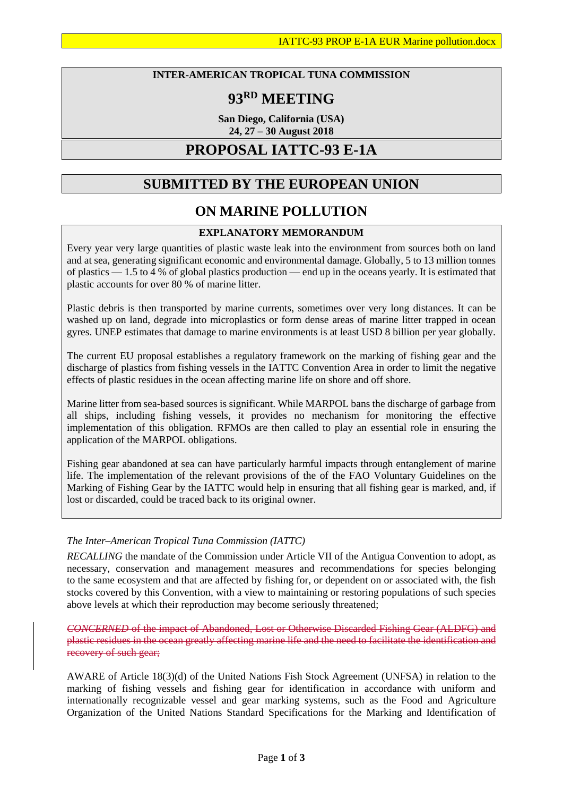### **INTER-AMERICAN TROPICAL TUNA COMMISSION**

# **93RD MEETING**

**San Diego, California (USA) 24, 27 – 30 August 2018**

## **PROPOSAL IATTC-93 E-1A**

## **SUBMITTED BY THE EUROPEAN UNION**

## **ON MARINE POLLUTION**

### **EXPLANATORY MEMORANDUM**

Every year very large quantities of plastic waste leak into the environment from sources both on land and at sea, generating significant economic and environmental damage. Globally, 5 to 13 million tonnes of plastics — 1.5 to 4 % of global plastics production — end up in the oceans yearly. It is estimated that plastic accounts for over 80 % of marine litter.

Plastic debris is then transported by marine currents, sometimes over very long distances. It can be washed up on land, degrade into microplastics or form dense areas of marine litter trapped in ocean gyres. UNEP estimates that damage to marine environments is at least USD 8 billion per year globally.

The current EU proposal establishes a regulatory framework on the marking of fishing gear and the discharge of plastics from fishing vessels in the IATTC Convention Area in order to limit the negative effects of plastic residues in the ocean affecting marine life on shore and off shore.

Marine litter from sea-based sources is significant. While MARPOL bans the discharge of garbage from all ships, including fishing vessels, it provides no mechanism for monitoring the effective implementation of this obligation. RFMOs are then called to play an essential role in ensuring the application of the MARPOL obligations.

Fishing gear abandoned at sea can have particularly harmful impacts through entanglement of marine life. The implementation of the relevant provisions of the of the FAO Voluntary Guidelines on the Marking of Fishing Gear by the IATTC would help in ensuring that all fishing gear is marked, and, if lost or discarded, could be traced back to its original owner.

### *The Inter–American Tropical Tuna Commission (IATTC)*

*RECALLING* the mandate of the Commission under Article VII of the Antigua Convention to adopt, as necessary, conservation and management measures and recommendations for species belonging to the same ecosystem and that are affected by fishing for, or dependent on or associated with, the fish stocks covered by this Convention, with a view to maintaining or restoring populations of such species above levels at which their reproduction may become seriously threatened;

*CONCERNED* of the impact of Abandoned, Lost or Otherwise Discarded Fishing Gear (ALDFG) and plastic residues in the ocean greatly affecting marine life and the need to facilitate the identification and recovery of such gear;

AWARE of Article 18(3)(d) of the United Nations Fish Stock Agreement (UNFSA) in relation to the marking of fishing vessels and fishing gear for identification in accordance with uniform and internationally recognizable vessel and gear marking systems, such as the Food and Agriculture Organization of the United Nations Standard Specifications for the Marking and Identification of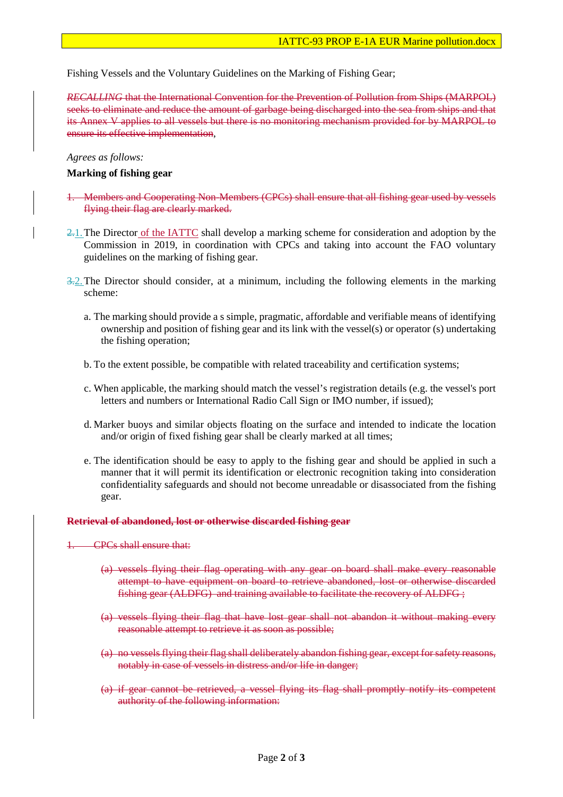Fishing Vessels and the Voluntary Guidelines on the Marking of Fishing Gear;

*RECALLING* that the International Convention for the Prevention of Pollution from Ships (MARPOL) seeks to eliminate and reduce the amount of garbage being discharged into the sea from ships and that its Annex V applies to all vessels but there is no monitoring mechanism provided for by MARPOL to ensure its effective implementation,

#### *Agrees as follows:*

#### **Marking of fishing gear**

- 1. Members and Cooperating Non-Members (CPCs) shall ensure that all fishing gear used by vessels flying their flag are clearly marked.
- 2.1. The Director of the IATTC shall develop a marking scheme for consideration and adoption by the Commission in 2019, in coordination with CPCs and taking into account the FAO voluntary guidelines on the marking of fishing gear.
- $3-2$ . The Director should consider, at a minimum, including the following elements in the marking scheme:
	- a. The marking should provide a s simple, pragmatic, affordable and verifiable means of identifying ownership and position of fishing gear and its link with the vessel(s) or operator (s) undertaking the fishing operation;
	- b. To the extent possible, be compatible with related traceability and certification systems;
	- c. When applicable, the marking should match the vessel's registration details (e.g. the vessel's port letters and numbers or International Radio Call Sign or IMO number, if issued);
	- d. Marker buoys and similar objects floating on the surface and intended to indicate the location and/or origin of fixed fishing gear shall be clearly marked at all times;
	- e. The identification should be easy to apply to the fishing gear and should be applied in such a manner that it will permit its identification or electronic recognition taking into consideration confidentiality safeguards and should not become unreadable or disassociated from the fishing gear.

#### **Retrieval of abandoned, lost or otherwise discarded fishing gear**

1. CPCs shall ensure that:

- (a) vessels flying their flag operating with any gear on board shall make every reasonable attempt to have equipment on board to retrieve abandoned, lost or otherwise discarded fishing gear (ALDFG) and training available to facilitate the recovery of ALDFG ;
- (a) vessels flying their flag that have lost gear shall not abandon it without making every reasonable attempt to retrieve it as soon as possible;
- (a) no vessels flying their flag shall deliberately abandon fishing gear, except for safety reasons, notably in case of vessels in distress and/or life in danger;
- (a) if gear cannot be retrieved, a vessel flying its flag shall promptly notify its competent authority of the following information: